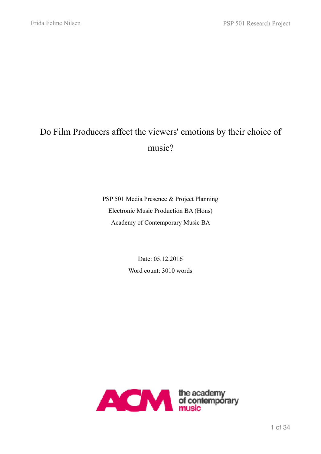# Do Film Producers affect the viewers' emotions by their choice of music?

PSP 501 Media Presence & Project Planning Electronic Music Production BA (Hons) Academy of Contemporary Music BA

> Date: 05.12.2016 Word count: 3010 words

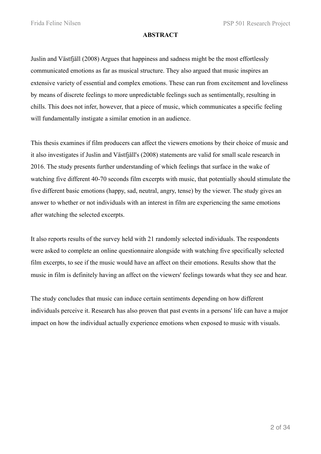#### **ABSTRACT**

Juslin and Västfjäll (2008) Argues that happiness and sadness might be the most effortlessly communicated emotions as far as musical structure. They also argued that music inspires an extensive variety of essential and complex emotions. These can run from excitement and loveliness by means of discrete feelings to more unpredictable feelings such as sentimentally, resulting in chills. This does not infer, however, that a piece of music, which communicates a specific feeling will fundamentally instigate a similar emotion in an audience.

This thesis examines if film producers can affect the viewers emotions by their choice of music and it also investigates if Juslin and Västfjäll's (2008) statements are valid for small scale research in 2016. The study presents further understanding of which feelings that surface in the wake of watching five different 40-70 seconds film excerpts with music, that potentially should stimulate the five different basic emotions (happy, sad, neutral, angry, tense) by the viewer. The study gives an answer to whether or not individuals with an interest in film are experiencing the same emotions after watching the selected excerpts.

It also reports results of the survey held with 21 randomly selected individuals. The respondents were asked to complete an online questionnaire alongside with watching five specifically selected film excerpts, to see if the music would have an affect on their emotions. Results show that the music in film is definitely having an affect on the viewers' feelings towards what they see and hear.

The study concludes that music can induce certain sentiments depending on how different individuals perceive it. Research has also proven that past events in a persons' life can have a major impact on how the individual actually experience emotions when exposed to music with visuals.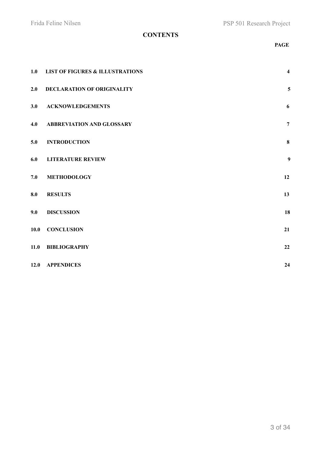# **CONTENTS**

#### **PAGE**

| 1.0  | <b>LIST OF FIGURES &amp; ILLUSTRATIONS</b> | $\overline{\mathbf{4}}$ |
|------|--------------------------------------------|-------------------------|
| 2.0  | <b>DECLARATION OF ORIGINALITY</b>          | 5                       |
| 3.0  | <b>ACKNOWLEDGEMENTS</b>                    | 6                       |
| 4.0  | <b>ABBREVIATION AND GLOSSARY</b>           | $\overline{7}$          |
| 5.0  | <b>INTRODUCTION</b>                        | $\bf{8}$                |
| 6.0  | <b>LITERATURE REVIEW</b>                   | 9                       |
| 7.0  | <b>METHODOLOGY</b>                         | 12                      |
| 8.0  | <b>RESULTS</b>                             | 13                      |
| 9.0  | <b>DISCUSSION</b>                          | 18                      |
| 10.0 | <b>CONCLUSION</b>                          | 21                      |
| 11.0 | <b>BIBLIOGRAPHY</b>                        | 22                      |
|      | 12.0 APPENDICES                            | 24                      |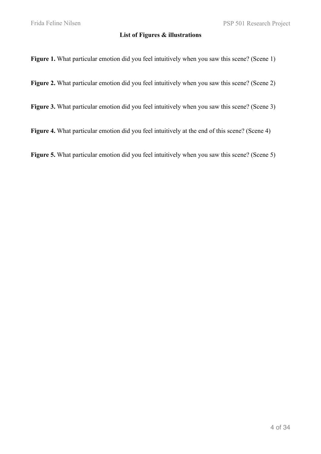#### **List of Figures & illustrations**

Figure 1. What particular emotion did you feel intuitively when you saw this scene? (Scene 1)

Figure 2. What particular emotion did you feel intuitively when you saw this scene? (Scene 2)

**Figure 3.** What particular emotion did you feel intuitively when you saw this scene? (Scene 3)

Figure 4. What particular emotion did you feel intuitively at the end of this scene? (Scene 4)

**Figure 5.** What particular emotion did you feel intuitively when you saw this scene? (Scene 5)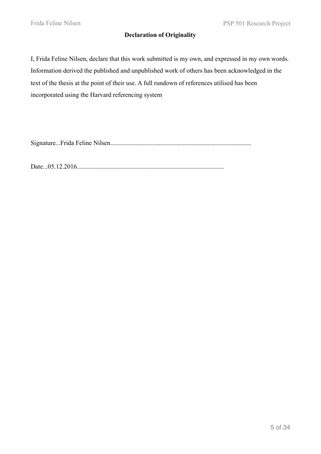### **Declaration of Originality**

I, Frida Feline Nilsen, declare that this work submitted is my own, and expressed in my own words. Information derived the published and unpublished work of others has been acknowledged in the text of the thesis at the point of their use. A full rundown of references utilised has been incorporated using the Harvard referencing system

Signature...Frida Feline Nilsen.......................................................................................

Date...05.12.2016...........................................................................................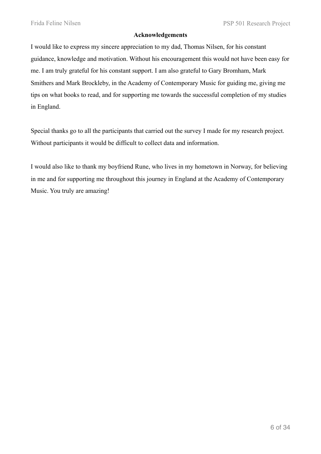#### **Acknowledgements**

I would like to express my sincere appreciation to my dad, Thomas Nilsen, for his constant guidance, knowledge and motivation. Without his encouragement this would not have been easy for me. I am truly grateful for his constant support. I am also grateful to Gary Bromham, Mark Smithers and Mark Brockleby, in the Academy of Contemporary Music for guiding me, giving me tips on what books to read, and for supporting me towards the successful completion of my studies in England.

Special thanks go to all the participants that carried out the survey I made for my research project. Without participants it would be difficult to collect data and information.

I would also like to thank my boyfriend Rune, who lives in my hometown in Norway, for believing in me and for supporting me throughout this journey in England at the Academy of Contemporary Music. You truly are amazing!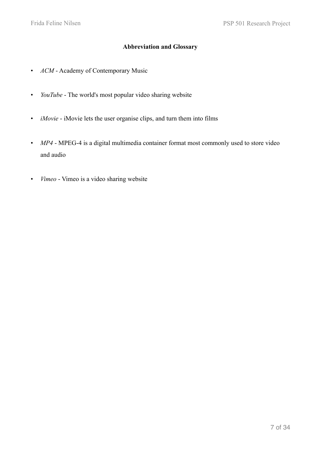## **Abbreviation and Glossary**

- *ACM* Academy of Contemporary Music
- *YouTube* The world's most popular video sharing website
- *iMovie* iMovie lets the user organise clips, and turn them into films
- *MP4* MPEG-4 is a digital multimedia container format most commonly used to store video and audio
- *Vimeo* Vimeo is a video sharing website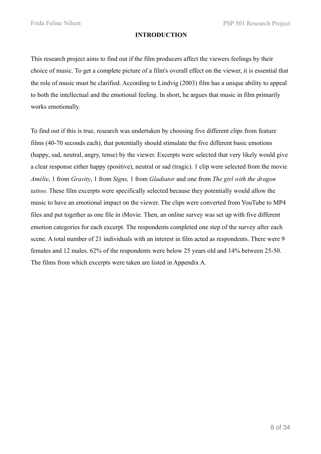#### **INTRODUCTION**

This research project aims to find out if the film producers affect the viewers feelings by their choice of music. To get a complete picture of a film's overall effect on the viewer, it is essential that the role of music must be clarified. According to Lindvig (2003) film has a unique ability to appeal to both the intellectual and the emotional feeling. In short, he argues that music in film primarily works emotionally.

To find out if this is true, research was undertaken by choosing five different clips from feature films (40-70 seconds each), that potentially should stimulate the five different basic emotions (happy, sad, neutral, angry, tense) by the viewer. Excerpts were selected that very likely would give a clear response either happy (positive), neutral or sad (tragic). 1 clip were selected from the movie *Amélie*, 1 from *Gravity*, 1 from *Signs,* 1 from *Gladiator* and one from *The girl with the dragon tattoo*. These film excerpts were specifically selected because they potentially would allow the music to have an emotional impact on the viewer. The clips were converted from YouTube to MP4 files and put together as one file in iMovie. Then, an online survey was set up with five different emotion categories for each excerpt. The respondents completed one step of the survey after each scene. A total number of 21 individuals with an interest in film acted as respondents. There were 9 females and 12 males. 62% of the respondents were below 25 years old and 14% between 25-50. The films from which excerpts were taken are listed in Appendix A.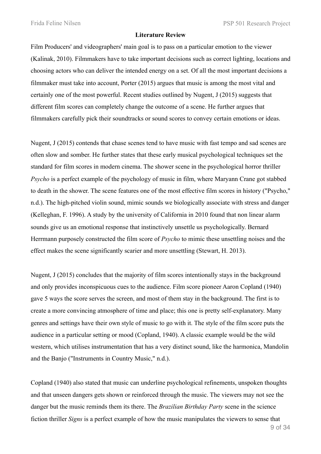#### **Literature Review**

Film Producers' and videographers' main goal is to pass on a particular emotion to the viewer (Kalinak, 2010). Filmmakers have to take important decisions such as correct lighting, locations and choosing actors who can deliver the intended energy on a set. Of all the most important decisions a filmmaker must take into account, Porter (2015) argues that music is among the most vital and certainly one of the most powerful. Recent studies outlined by Nugent, J (2015) suggests that different film scores can completely change the outcome of a scene. He further argues that filmmakers carefully pick their soundtracks or sound scores to convey certain emotions or ideas.

Nugent, J (2015) contends that chase scenes tend to have music with fast tempo and sad scenes are often slow and somber. He further states that these early musical psychological techniques set the standard for film scores in modern cinema. The shower scene in the psychological horror thriller *Psycho* is a perfect example of the psychology of music in film, where Maryann Crane got stabbed to death in the shower. The scene features one of the most effective film scores in history ("Psycho," n.d.). The high-pitched violin sound, mimic sounds we biologically associate with stress and danger (Kelleghan, F. 1996). A study by the university of California in 2010 found that non linear alarm sounds give us an emotional response that instinctively unsettle us psychologically. Bernard Herrmann purposely constructed the film score of *Psycho* to mimic these unsettling noises and the effect makes the scene significantly scarier and more unsettling (Stewart, H. 2013).

Nugent, J (2015) concludes that the majority of film scores intentionally stays in the background and only provides inconspicuous cues to the audience. Film score pioneer Aaron Copland (1940) gave 5 ways the score serves the screen, and most of them stay in the background. The first is to create a more convincing atmosphere of time and place; this one is pretty self-explanatory. Many genres and settings have their own style of music to go with it. The style of the film score puts the audience in a particular setting or mood (Copland, 1940). A classic example would be the wild western, which utilises instrumentation that has a very distinct sound, like the harmonica, Mandolin and the Banjo ("Instruments in Country Music," n.d.).

Copland (1940) also stated that music can underline psychological refinements, unspoken thoughts and that unseen dangers gets shown or reinforced through the music. The viewers may not see the danger but the music reminds them its there. The *Brazilian Birthday Party* scene in the science fiction thriller *Signs* is a perfect example of how the music manipulates the viewers to sense that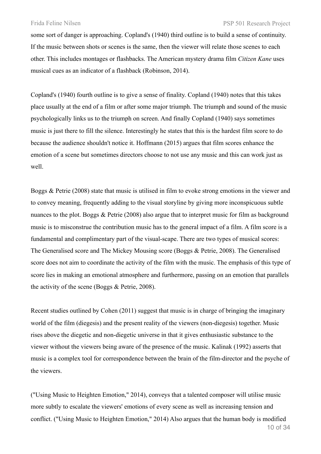some sort of danger is approaching. Copland's (1940) third outline is to build a sense of continuity. If the music between shots or scenes is the same, then the viewer will relate those scenes to each other. This includes montages or flashbacks. The American mystery drama film *Citizen Kane* uses musical cues as an indicator of a flashback (Robinson, 2014).

Copland's (1940) fourth outline is to give a sense of finality. Copland (1940) notes that this takes place usually at the end of a film or after some major triumph. The triumph and sound of the music psychologically links us to the triumph on screen. And finally Copland (1940) says sometimes music is just there to fill the silence. Interestingly he states that this is the hardest film score to do because the audience shouldn't notice it. Hoffmann (2015) argues that film scores enhance the emotion of a scene but sometimes directors choose to not use any music and this can work just as well.

Boggs & Petrie (2008) state that music is utilised in film to evoke strong emotions in the viewer and to convey meaning, frequently adding to the visual storyline by giving more inconspicuous subtle nuances to the plot. Boggs & Petrie (2008) also argue that to interpret music for film as background music is to misconstrue the contribution music has to the general impact of a film. A film score is a fundamental and complimentary part of the visual-scape. There are two types of musical scores: The Generalised score and The Mickey Mousing score (Boggs & Petrie, 2008). The Generalised score does not aim to coordinate the activity of the film with the music. The emphasis of this type of score lies in making an emotional atmosphere and furthermore, passing on an emotion that parallels the activity of the scene (Boggs & Petrie, 2008).

Recent studies outlined by Cohen (2011) suggest that music is in charge of bringing the imaginary world of the film (diegesis) and the present reality of the viewers (non-diegesis) together. Music rises above the diegetic and non-diegetic universe in that it gives enthusiastic substance to the viewer without the viewers being aware of the presence of the music. Kalinak (1992) asserts that music is a complex tool for correspondence between the brain of the film-director and the psyche of the viewers.

("Using Music to Heighten Emotion," 2014), conveys that a talented composer will utilise music more subtly to escalate the viewers' emotions of every scene as well as increasing tension and conflict. ("Using Music to Heighten Emotion," 2014) Also argues that the human body is modified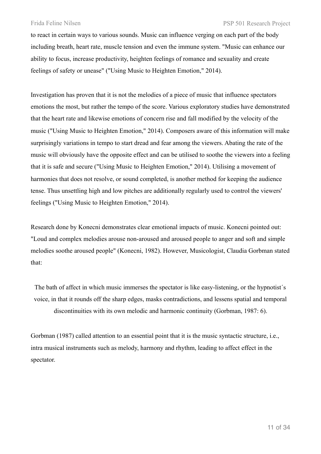to react in certain ways to various sounds. Music can influence verging on each part of the body including breath, heart rate, muscle tension and even the immune system. "Music can enhance our ability to focus, increase productivity, heighten feelings of romance and sexuality and create feelings of safety or unease" ("Using Music to Heighten Emotion," 2014).

Investigation has proven that it is not the melodies of a piece of music that influence spectators emotions the most, but rather the tempo of the score. Various exploratory studies have demonstrated that the heart rate and likewise emotions of concern rise and fall modified by the velocity of the music ("Using Music to Heighten Emotion," 2014). Composers aware of this information will make surprisingly variations in tempo to start dread and fear among the viewers. Abating the rate of the music will obviously have the opposite effect and can be utilised to soothe the viewers into a feeling that it is safe and secure ("Using Music to Heighten Emotion," 2014). Utilising a movement of harmonies that does not resolve, or sound completed, is another method for keeping the audience tense. Thus unsettling high and low pitches are additionally regularly used to control the viewers' feelings ("Using Music to Heighten Emotion," 2014).

Research done by Konecni demonstrates clear emotional impacts of music. Konecni pointed out: "Loud and complex melodies arouse non-aroused and aroused people to anger and soft and simple melodies soothe aroused people" (Konecni, 1982). However, Musicologist, Claudia Gorbman stated that:

The bath of affect in which music immerses the spectator is like easy-listening, or the hypnotist´s voice, in that it rounds off the sharp edges, masks contradictions, and lessens spatial and temporal discontinuities with its own melodic and harmonic continuity (Gorbman, 1987: 6).

Gorbman (1987) called attention to an essential point that it is the music syntactic structure, i.e., intra musical instruments such as melody, harmony and rhythm, leading to affect effect in the spectator.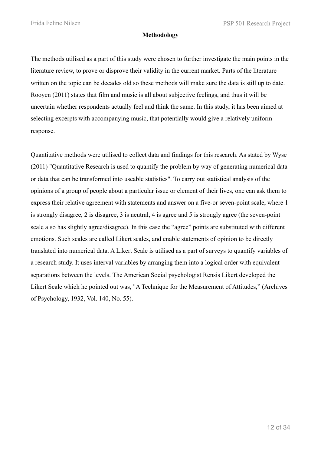#### **Methodology**

The methods utilised as a part of this study were chosen to further investigate the main points in the literature review, to prove or disprove their validity in the current market. Parts of the literature written on the topic can be decades old so these methods will make sure the data is still up to date. Rooyen (2011) states that film and music is all about subjective feelings, and thus it will be uncertain whether respondents actually feel and think the same. In this study, it has been aimed at selecting excerpts with accompanying music, that potentially would give a relatively uniform response.

Quantitative methods were utilised to collect data and findings for this research. As stated by Wyse (2011) "Quantitative Research is used to quantify the problem by way of generating numerical data or data that can be transformed into useable statistics". To carry out statistical analysis of the opinions of a group of people about a particular issue or element of their lives, one can ask them to express their relative agreement with statements and answer on a five-or seven-point scale, where 1 is strongly disagree, 2 is disagree, 3 is neutral, 4 is agree and 5 is strongly agree (the seven-point scale also has slightly agree/disagree). In this case the "agree" points are substituted with different emotions. Such scales are called Likert scales, and enable statements of opinion to be directly translated into numerical data. A Likert Scale is utilised as a part of surveys to quantify variables of a research study. It uses interval variables by arranging them into a logical order with equivalent separations between the levels. The American Social psychologist Rensis Likert developed the Likert Scale which he pointed out was, "A Technique for the Measurement of Attitudes," (Archives of Psychology, 1932, Vol. 140, No. 55).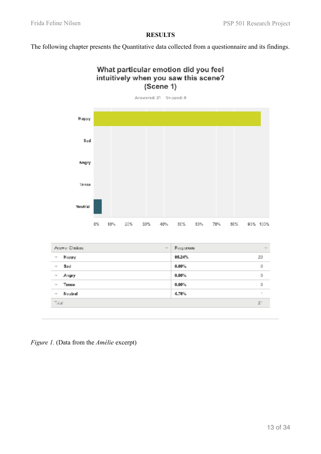### **RESULTS**

The following chapter presents the Quantitative data collected from a questionnaire and its findings.





| 95.24%<br>20  |
|---------------|
|               |
| $0.00\%$<br>0 |
| $0.00\%$<br>0 |
| $0.00\%$<br>0 |
| 4.76%         |
| $2^+$         |
|               |

*Figure 1.* (Data from the *Amélie* excerpt)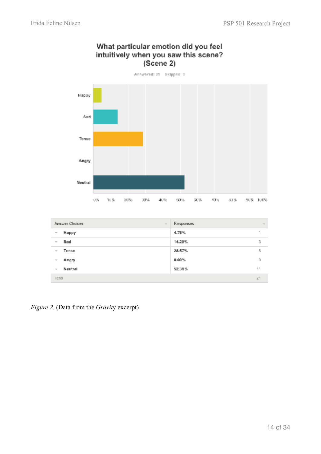

# What particular emotion did you feel intuitively when you saw this scene?

| Answer Choices           | Responses |
|--------------------------|-----------|
| $\sim$                   | $\sim$    |
| Happy                    | 4.76%     |
| $\equiv$                 | ٠         |
| Sad                      | 3         |
| $\equiv$                 | 14.29%    |
| Tense                    | Б.        |
| $\sim$                   | 28.57%    |
| Angry                    | 0.00%     |
| $\overline{\phantom{a}}$ | D         |
| Neutral                  | 11        |
| $\sim$                   | 52.38%    |
| <b>Ictal</b>             | 21        |

*Figure 2.* (Data from the *Gravit*y excerpt)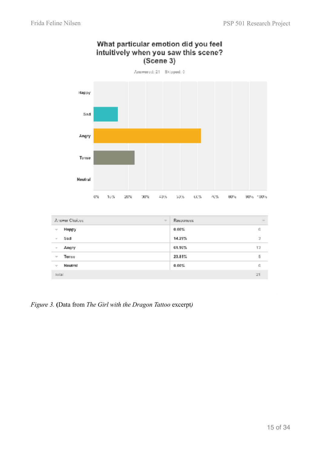

## What particular emotion did you feel intuitively when you saw this scene?  $(Scene 3)$

|                             | Amower Choices<br>$\overline{\phantom{a}}$ | Responses | $\sim$ |
|-----------------------------|--------------------------------------------|-----------|--------|
| $\overline{\mathcal{N}}$    | Нарру                                      | 0.00%     | ı0     |
| $\mathcal{C}^{\mathcal{C}}$ | Sad                                        | 14.29%    | э      |
| $\mathcal{C}^{\mathcal{C}}$ | Angry                                      | 61.90%    | 13     |
| $\overline{\phantom{a}}$    | Tense                                      | 23.81%    | 5      |
| $\overline{\phantom{a}}$    | Neutral                                    | 0.00%     | ı0     |
| total                       |                                            |           | 21     |

*Figure 3.* **(**Data from *The Girl with the Dragon Tattoo* excerpt*)*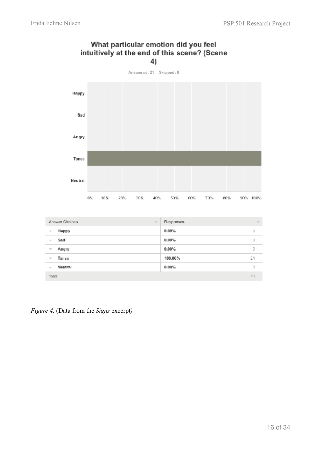

## What particular emotion did you feel intuitively at the end of this scene? (Scene 4)

|                             | Answer Choices<br>$\overline{\phantom{a}}$ | Responses. | $\sim$ |
|-----------------------------|--------------------------------------------|------------|--------|
| $\mathcal{C}$               | Нарру                                      | $0.00\%$   | o      |
| $\mathcal{C}^{\mathcal{C}}$ | Sad                                        | $0.00\%$   | U      |
| $\overline{\phantom{a}}$    | Angry                                      | $0.00\%$   | 0      |
| $\overline{\phantom{a}}$    | Tanse                                      | 100.00%    | 21     |
| $\overline{\phantom{a}}$    | Neutral                                    | $0.00\%$   | O      |
| Total                       |                                            |            | 21     |

*Figure 4.* (Data from the *Signs* excerpt*)*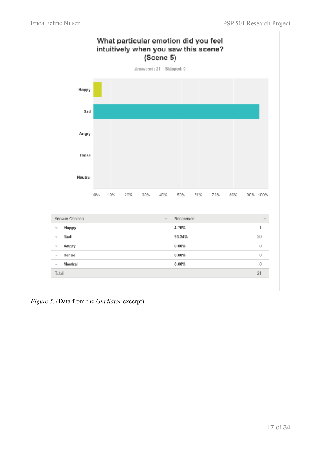

*Figure 5.* (Data from the *Gladiator* excerpt)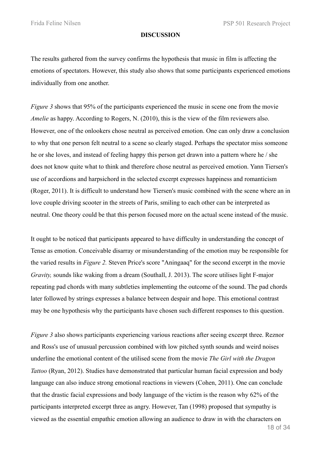#### **DISCUSSION**

The results gathered from the survey confirms the hypothesis that music in film is affecting the emotions of spectators. However, this study also shows that some participants experienced emotions individually from one another.

*Figure 3* shows that 95% of the participants experienced the music in scene one from the movie *Amelie* as happy. According to Rogers, N. (2010), this is the view of the film reviewers also. However, one of the onlookers chose neutral as perceived emotion. One can only draw a conclusion to why that one person felt neutral to a scene so clearly staged. Perhaps the spectator miss someone he or she loves, and instead of feeling happy this person get drawn into a pattern where he / she does not know quite what to think and therefore chose neutral as perceived emotion. Yann Tiersen's use of accordions and harpsichord in the selected excerpt expresses happiness and romanticism (Roger, 2011). It is difficult to understand how Tiersen's music combined with the scene where an in love couple driving scooter in the streets of Paris, smiling to each other can be interpreted as neutral. One theory could be that this person focused more on the actual scene instead of the music.

It ought to be noticed that participants appeared to have difficulty in understanding the concept of Tense as emotion. Conceivable disarray or misunderstanding of the emotion may be responsible for the varied results in *Figure 2.* Steven Price's score "Aningaaq" for the second excerpt in the movie *Gravity,* sounds like waking from a dream (Southall, J. 2013). The score utilises light F-major repeating pad chords with many subtleties implementing the outcome of the sound. The pad chords later followed by strings expresses a balance between despair and hope. This emotional contrast may be one hypothesis why the participants have chosen such different responses to this question.

*Figure 3* also shows participants experiencing various reactions after seeing excerpt three. Reznor and Ross's use of unusual percussion combined with low pitched synth sounds and weird noises underline the emotional content of the utilised scene from the movie *The Girl with the Dragon Tattoo* (Ryan, 2012). Studies have demonstrated that particular human facial expression and body language can also induce strong emotional reactions in viewers (Cohen, 2011). One can conclude that the drastic facial expressions and body language of the victim is the reason why 62% of the participants interpreted excerpt three as angry. However, Tan (1998) proposed that sympathy is viewed as the essential empathic emotion allowing an audience to draw in with the characters on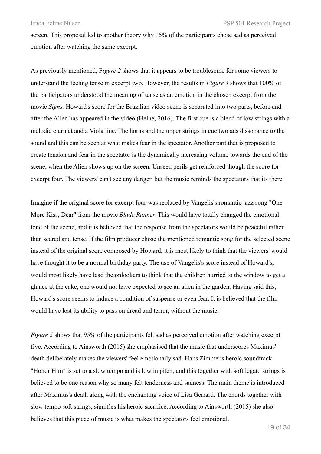screen. This proposal led to another theory why 15% of the participants chose sad as perceived emotion after watching the same excerpt.

As previously mentioned, F*igure 2* shows that it appears to be troublesome for some viewers to understand the feeling tense in excerpt two. However, the results in *Figure 4* shows that 100% of the participators understood the meaning of tense as an emotion in the chosen excerpt from the movie *Signs.* Howard's score for the Brazilian video scene is separated into two parts, before and after the Alien has appeared in the video (Heine, 2016). The first cue is a blend of low strings with a melodic clarinet and a Viola line. The horns and the upper strings in cue two ads dissonance to the sound and this can be seen at what makes fear in the spectator. Another part that is proposed to create tension and fear in the spectator is the dynamically increasing volume towards the end of the scene, when the Alien shows up on the screen. Unseen perils get reinforced though the score for excerpt four. The viewers' can't see any danger, but the music reminds the spectators that its there.

Imagine if the original score for excerpt four was replaced by Vangelis's romantic jazz song "One More Kiss, Dear" from the movie *Blade Runner.* This would have totally changed the emotional tone of the scene, and it is believed that the response from the spectators would be peaceful rather than scared and tense. If the film producer chose the mentioned romantic song for the selected scene instead of the original score composed by Howard, it is most likely to think that the viewers' would have thought it to be a normal birthday party. The use of Vangelis's score instead of Howard's, would most likely have lead the onlookers to think that the children hurried to the window to get a glance at the cake, one would not have expected to see an alien in the garden. Having said this, Howard's score seems to induce a condition of suspense or even fear. It is believed that the film would have lost its ability to pass on dread and terror, without the music.

*Figure 5* shows that 95% of the participants felt sad as perceived emotion after watching excerpt five. According to Ainsworth (2015) she emphasised that the music that underscores Maximus' death deliberately makes the viewers' feel emotionally sad. Hans Zimmer's heroic soundtrack "Honor Him" is set to a slow tempo and is low in pitch, and this together with soft legato strings is believed to be one reason why so many felt tenderness and sadness. The main theme is introduced after Maximus's death along with the enchanting voice of Lisa Gerrard. The chords together with slow tempo soft strings, signifies his heroic sacrifice. According to Ainsworth (2015) she also believes that this piece of music is what makes the spectators feel emotional.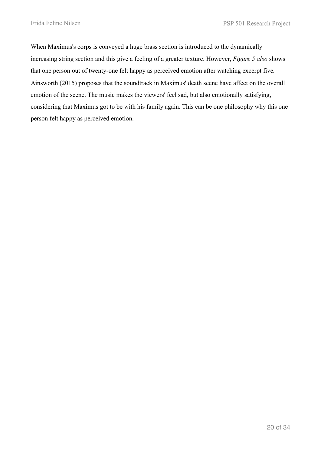When Maximus's corps is conveyed a huge brass section is introduced to the dynamically increasing string section and this give a feeling of a greater texture. However, *Figure 5 also* shows that one person out of twenty-one felt happy as perceived emotion after watching excerpt five*.* Ainsworth (2015) proposes that the soundtrack in Maximus' death scene have affect on the overall emotion of the scene. The music makes the viewers' feel sad, but also emotionally satisfying, considering that Maximus got to be with his family again. This can be one philosophy why this one person felt happy as perceived emotion.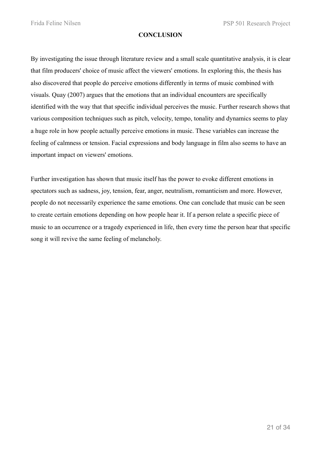#### **CONCLUSION**

By investigating the issue through literature review and a small scale quantitative analysis, it is clear that film producers' choice of music affect the viewers' emotions. In exploring this, the thesis has also discovered that people do perceive emotions differently in terms of music combined with visuals. Quay (2007) argues that the emotions that an individual encounters are specifically identified with the way that that specific individual perceives the music. Further research shows that various composition techniques such as pitch, velocity, tempo, tonality and dynamics seems to play a huge role in how people actually perceive emotions in music. These variables can increase the feeling of calmness or tension. Facial expressions and body language in film also seems to have an important impact on viewers' emotions.

Further investigation has shown that music itself has the power to evoke different emotions in spectators such as sadness, joy, tension, fear, anger, neutralism, romanticism and more. However, people do not necessarily experience the same emotions. One can conclude that music can be seen to create certain emotions depending on how people hear it. If a person relate a specific piece of music to an occurrence or a tragedy experienced in life, then every time the person hear that specific song it will revive the same feeling of melancholy.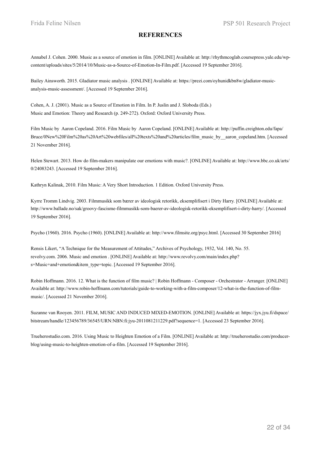#### **REFERENCES**

Annabel J. Cohen. 2000. Music as a source of emotion in film. [ONLINE] Available at: http://rhythmcoglab.coursepress.yale.edu/wpcontent/uploads/sites/5/2014/10/Music-as-a-Source-of-Emotion-In-Film.pdf. [Accessed 19 September 2016].

Bailey Ainsworth. 2015. Gladiator music analysis . [ONLINE] Available at: https://prezi.com/oyhunidkbn8w/gladiator-musicanalysis-music-assessment/. [Accessed 19 September 2016].

Cohen, A. J. (2001). Music as a Source of Emotion in Film. In P. Juslin and J. Sloboda (Eds.) Music and Emotion: Theory and Research (p. 249-272). Oxford: Oxford University Press.

Film Music by Aaron Copeland. 2016. Film Music by Aaron Copeland. [ONLINE] Available at: http://puffin.creighton.edu/fapa/ Bruce/0New%20Film%20as%20Art%20webfiles/all%20texts%20and%20articles/film\_music\_by\_\_aaron\_copeland.htm. [Accessed 21 November 2016].

Helen Stewart. 2013. How do film-makers manipulate our emotions with music?. [ONLINE] Available at: http://www.bbc.co.uk/arts/ 0/24083243. [Accessed 19 September 2016].

Kathryn Kalinak, 2010. Film Music: A Very Short Introduction. 1 Edition. Oxford University Press.

Kyrre Tromm Lindvig. 2003. Filmmusikk som bærer av ideologisk retorikk, eksemplifisert i Dirty Harry. [ONLINE] Available at: http://www.ballade.no/sak/groovy-fascisme-filmmusikk-som-baerer-av-ideologisk-retorikk-eksemplifisert-i-dirty-harry/. [Accessed 19 September 2016].

Psycho (1960). 2016. Psycho (1960). [ONLINE] Available at: http://www.filmsite.org/psyc.html. [Accessed 30 September 2016]

Rensis Likert, "A Technique for the Measurement of Attitudes," Archives of Psychology, 1932, Vol. 140, No. 55. revolvy.com. 2006. Music and emotion . [ONLINE] Available at: http://www.revolvy.com/main/index.php? s=Music+and+emotion&item\_type=topic. [Accessed 19 September 2016].

Robin Hoffmann. 2016. 12. What is the function of film music? | Robin Hoffmann - Composer - Orchestrator - Arranger. [ONLINE] Available at: http://www.robin-hoffmann.com/tutorials/guide-to-working-with-a-film-composer/12-what-is-the-function-of-filmmusic/. [Accessed 21 November 2016].

Suzanne van Rooyen. 2011. FILM, MUSIC AND INDUCED MIXED-EMOTION. [ONLINE] Available at: https://jyx.jyu.fi/dspace/ bitstream/handle/123456789/36545/URN:NBN:fi:jyu-2011081211229.pdf?sequence=1. [Accessed 23 September 2016].

Trueherostudio.com. 2016. Using Music to Heighten Emotion of a Film. [ONLINE] Available at: http://trueherostudio.com/producerblog/using-music-to-heighten-emotion-of-a-film. [Accessed 19 September 2016].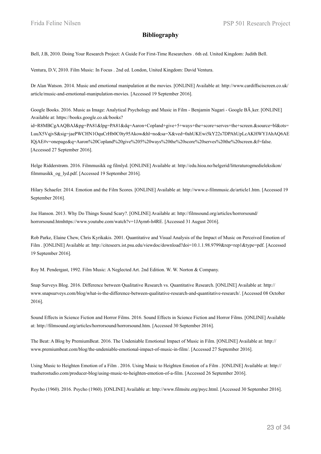#### **Bibliography**

Bell, J.B, 2010. Doing Your Research Project: A Guide For First-Time Researchers . 6th ed. United Kingdom: Judith Bell.

Ventura, D.V, 2010. Film Music: In Focus . 2nd ed. London, United Kingdom: David Ventura.

Dr Alan Watson. 2014. Music and emotional manipulation at the movies. [ONLINE] Available at: http://www.cardiffsciscreen.co.uk/ article/music-and-emotional-manipulation-movies. [Accessed 19 September 2016].

Google Books. 2016. Music as Image: Analytical Psychology and Music in Film - Benjamin Nagari - Google BÂ ker. [ONLINE] Available at: https://books.google.co.uk/books?

id=R8MBCgAAQBAJ&pg=PA81&lpg=PA81&dq=Aaron+Copland+give+5+ways+the+score+serves+the+screen.&source=bl&ots= LuuX5VqjvS&sig=jaePWCHN1OquCrHb0C0ty95Akow&hl=no&sa=X&ved=0ahUKEwi5kY22s7DPAhUpLcAKHWYJAhAQ6AE IQjAE#v=onepage&q=Aaron%20Copland%20give%205%20ways%20the%20score%20serves%20the%20screen.&f=false. [Accessed 27 September 2016].

Helge Ridderstrøm. 2016. Filmmusikk og filmlyd. [ONLINE] Available at: http://edu.hioa.no/helgerid/litteraturogmedieleksikon/ filmmusikk\_og\_lyd.pdf. [Accessed 19 September 2016].

Hilary Schaefer. 2014. Emotion and the Film Scores. [ONLINE] Available at: http://www.e-filmmusic.de/article1.htm. [Accessed 19 September 2016].

Joe Hanson. 2013. Why Do Things Sound Scary?. [ONLINE] Available at: http://filmsound.org/articles/horrorsound/ horrorsound.htmhttps://www.youtube.com/watch?v=1JAym6-h4RE. [Accessed 31 August 2016].

Rob Parke, Elaine Chew, Chris Kyrikakis. 2001. Quantitative and Visual Analysis of the Impact of Music on Perceived Emotion of Film . [ONLINE] Available at: http://citeseerx.ist.psu.edu/viewdoc/download?doi=10.1.1.98.9799&rep=rep1&type=pdf. [Accessed 19 September 2016].

Roy M. Pendergast, 1992. Film Music: A Neglected Art. 2nd Edition. W. W. Norton & Company.

Snap Surveys Blog. 2016. Difference between Qualitative Research vs. Quantitative Research. [ONLINE] Available at: http:// www.snapsurveys.com/blog/what-is-the-difference-between-qualitative-research-and-quantitative-research/. [Accessed 08 October 2016].

Sound Effects in Science Fiction and Horror Films. 2016. Sound Effects in Science Fiction and Horror Films. [ONLINE] Available at: http://filmsound.org/articles/horrorsound/horrorsound.htm. [Accessed 30 September 2016].

The Beat: A Blog by PremiumBeat. 2016. The Undeniable Emotional Impact of Music in Film. [ONLINE] Available at: http:// www.premiumbeat.com/blog/the-undeniable-emotional-impact-of-music-in-film/. [Accessed 27 September 2016].

Using Music to Heighten Emotion of a Film . 2016. Using Music to Heighten Emotion of a Film . [ONLINE] Available at: http:// trueherostudio.com/producer-blog/using-music-to-heighten-emotion-of-a-film. [Accessed 26 September 2016].

Psycho (1960). 2016. Psycho (1960). [ONLINE] Available at: http://www.filmsite.org/psyc.html. [Accessed 30 September 2016].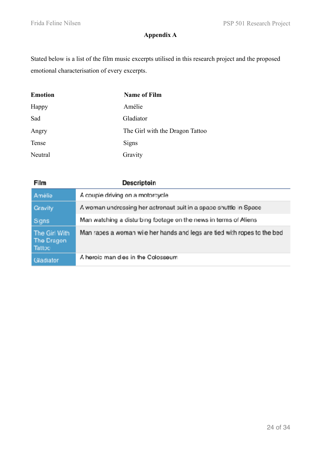# **Appendix A**

Stated below is a list of the film music excerpts utilised in this research project and the proposed emotional characterisation of every excerpts.

| <b>Emotion</b> | <b>Name of Film</b>             |
|----------------|---------------------------------|
| Happy          | Amélie                          |
| Sad            | Gladiator                       |
| Angry          | The Girl with the Dragon Tattoo |
| Tense          | Signs                           |
| Neutral        | Gravity                         |

| Film                                  | Descriptoin                                                             |
|---------------------------------------|-------------------------------------------------------------------------|
| Amélie                                | A couple driving on a motorcycle                                        |
| <b>Gravity</b>                        | A woman undressing her astronaut suit in a space shuttle in Space       |
| Signs                                 | Man watching a disturbing footage on the news in terms of Aliens        |
| The Girl With<br>The Dragon<br>Tattoo | Man rapes a woman wie her hands and legs are tied with ropes to the bed |
| Gladiator                             | A heroic man dies in the Colosseum                                      |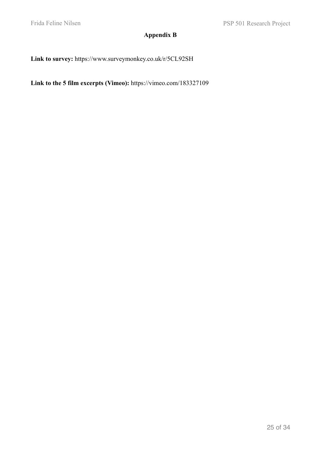# **Appendix B**

**Link to survey:** https://www.surveymonkey.co.uk/r/5CL92SH

**Link to the 5 film excerpts (Vimeo):** https://vimeo.com/183327109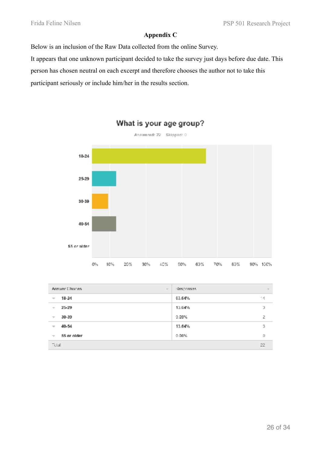### **Appendix C**

Below is an inclusion of the Raw Data collected from the online Survey.

It appears that one unknown participant decided to take the survey just days before due date. This

person has chosen neutral on each excerpt and therefore chooses the author not to take this

participant seriously or include him/her in the results section.



# What is your age group?

| Answer Choices              | <b>Hesponses</b>         |  |
|-----------------------------|--------------------------|--|
| $\sim$                      | $\overline{\phantom{a}}$ |  |
| $18 - 24$                   | 63.64%                   |  |
| $\sim$                      | 14                       |  |
| 25-29                       | з                        |  |
| $\sim$                      | 13.64%                   |  |
| $30 - 39$                   | $9.09\%$                 |  |
| $\overline{\phantom{a}}$    | 2                        |  |
| 40-54                       | 3                        |  |
| $\sim$                      | 13.64%                   |  |
| 55 or older                 | $0.00\%$                 |  |
| $\mathcal{C}^{\mathrm{an}}$ | D                        |  |
| Total                       |                          |  |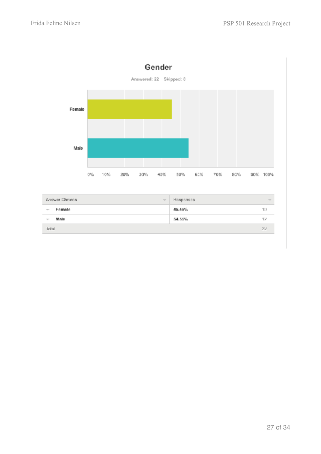

| Answer Dipless           | Hesponses.<br>$\overline{\phantom{a}}$<br>$\sim$ |
|--------------------------|--------------------------------------------------|
| Famala                   | 45.45%                                           |
| $\overline{\phantom{a}}$ | 11)                                              |
| Male                     | 54.55%                                           |
| $\overline{\phantom{a}}$ | 12                                               |
| lotal                    | 22                                               |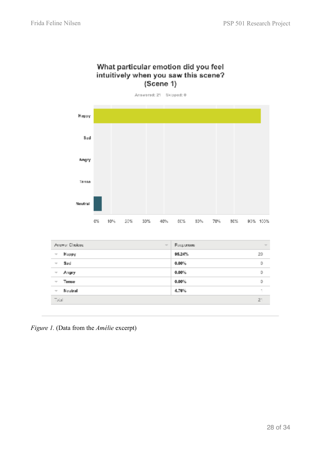## What particular emotion did you feel intuitively when you saw this scene?  $(S\acute{c}ene 1)$

Answered: 21 Skipped: 0 Happy Sad Angry Tense Neutral 40% 90% 100%  $0\%$ 10% 20% 30% 60% 80% 70% 80%

| Answer Choicae                      | Responses<br>$\frac{1}{2}$ | $\sim$ |
|-------------------------------------|----------------------------|--------|
| Happy<br>$\overline{\phantom{a}}$   | 95.24%                     | 20     |
| Sad<br>w                            | 0.00%                      | D      |
| Angry<br>$\overline{\nu}$           | $0.00\%$                   | o      |
| Tense<br>$\overline{\phantom{a}}$   | $0.00\%$                   | 0      |
| Neutral<br>$\overline{\mathcal{M}}$ | 4.76%                      |        |
| <b>Tatal</b>                        |                            | $2^+$  |

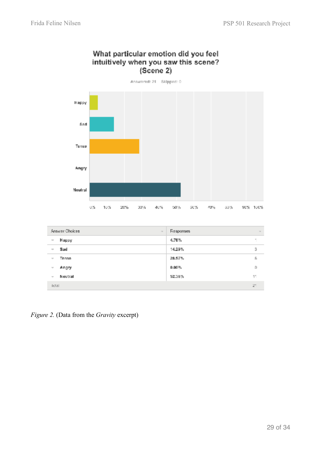



| Answer Choices           | <b>Responses</b> |
|--------------------------|------------------|
| $\sim$                   | $\sim$           |
| Happy<br>$\equiv$        | 4.76%            |
| Sad                      | 3                |
| $\equiv$                 | 14.29%           |
| Tense                    | Б.               |
| $\overline{\phantom{a}}$ | 28.57%           |
| Angry                    | 0.00%            |
| $\sim$                   | $\Omega$         |
| Neutral                  | 11               |
| $\sim$                   | 52.38%           |
| Ictal                    |                  |

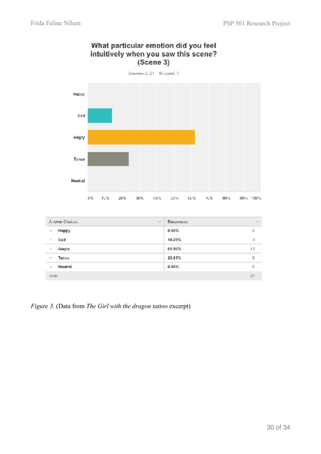

## What particular emotion did you feel intuitively when you saw this scene?  $(Scene 3)$

| Amower Choices              | Responses |
|-----------------------------|-----------|
| $\overline{\phantom{a}}$    | $\sim$    |
| Нарру                       | 0.00%     |
| $\mathcal{T}$               | ı0        |
| Sad                         | 14.29%    |
| $\sim$                      | э         |
| Angry                       | 61.90%    |
| $\mathcal{C}^{\mathcal{C}}$ | 13        |
| Tense                       | 5         |
| $\overline{\phantom{a}}$    | 23.81%    |
| Neutral                     | 0.00%     |
| $\overline{\phantom{a}}$    | ı0        |
| <b>lotal</b>                | 21        |

*Figure 3.* (Data from *The Girl with the dragon tattoo* excerpt)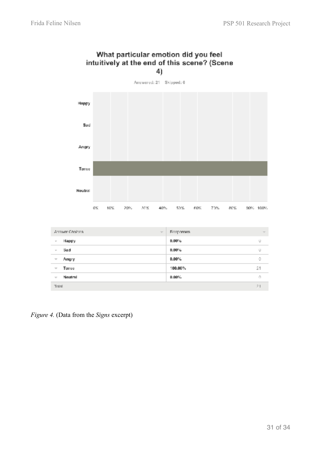

# What particular emotion did you feel intuitively at the end of this scene? (Scene

| Answer Choices<br>$\mathcal{R}^{\text{max}}$ |         | Responses. | $\sim$   |    |
|----------------------------------------------|---------|------------|----------|----|
| $\mathcal{C}^{\prime}$                       | Нарру   |            | $0.00\%$ | U  |
| $\sim$                                       | Sad     |            | $0.00\%$ | U  |
| $\overline{\phantom{a}}$                     | Angry   |            | $0.00\%$ | ō  |
| $\overline{\phantom{a}}$                     | Tanse   |            | 100,00%  | 21 |
| $\overline{\phantom{a}}$                     | Neutral |            | $0.00\%$ | O  |
| Total                                        |         |            |          | 21 |

*Figure 4.* (Data from the *Signs* excerpt)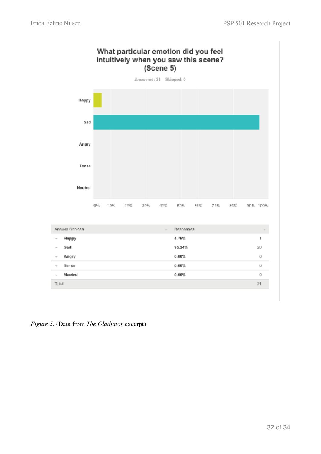

*Figure 5.* (Data from *The Gladiator* excerpt)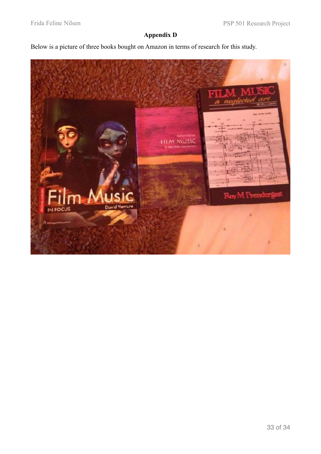# **Appendix D**

Below is a picture of three books bought on Amazon in terms of research for this study.